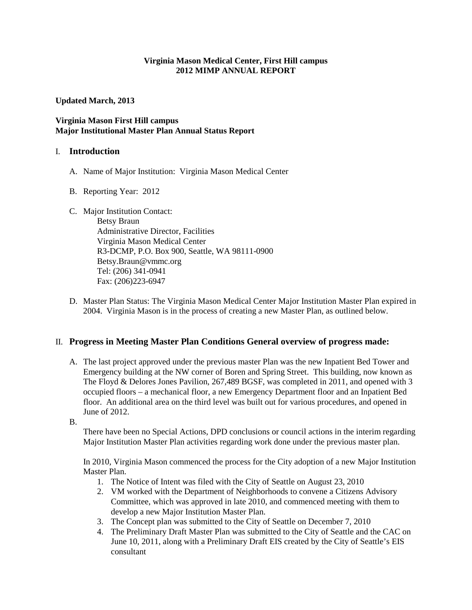#### **Virginia Mason Medical Center, First Hill campus 2012 MIMP ANNUAL REPORT**

**Updated March, 2013**

#### **Virginia Mason First Hill campus Major Institutional Master Plan Annual Status Report**

#### I. **Introduction**

- A. Name of Major Institution: Virginia Mason Medical Center
- B. Reporting Year: 2012
- C. Major Institution Contact:

Betsy Braun Administrative Director, Facilities Virginia Mason Medical Center R3-DCMP, P.O. Box 900, Seattle, WA 98111-0900 [Betsy.Braun@vmmc.org](mailto:Betsy.Braun@vmmc.org)  Tel: (206) 341-0941 Fax: (206)223-6947

D. Master Plan Status: The Virginia Mason Medical Center Major Institution Master Plan expired in 2004. Virginia Mason is in the process of creating a new Master Plan, as outlined below.

## II. **Progress in Meeting Master Plan Conditions General overview of progress made:**

- A. The last project approved under the previous master Plan was the new Inpatient Bed Tower and Emergency building at the NW corner of Boren and Spring Street. This building, now known as The Floyd & Delores Jones Pavilion, 267,489 BGSF, was completed in 2011, and opened with 3 occupied floors – a mechanical floor, a new Emergency Department floor and an Inpatient Bed floor. An additional area on the third level was built out for various procedures, and opened in June of 2012.
- B.

There have been no Special Actions, DPD conclusions or council actions in the interim regarding Major Institution Master Plan activities regarding work done under the previous master plan.

In 2010, Virginia Mason commenced the process for the City adoption of a new Major Institution Master Plan.

- 1. The Notice of Intent was filed with the City of Seattle on August 23, 2010
- 2. VM worked with the Department of Neighborhoods to convene a Citizens Advisory Committee, which was approved in late 2010, and commenced meeting with them to develop a new Major Institution Master Plan.
- 3. The Concept plan was submitted to the City of Seattle on December 7, 2010
- 4. The Preliminary Draft Master Plan was submitted to the City of Seattle and the CAC on June 10, 2011, along with a Preliminary Draft EIS created by the City of Seattle's EIS consultant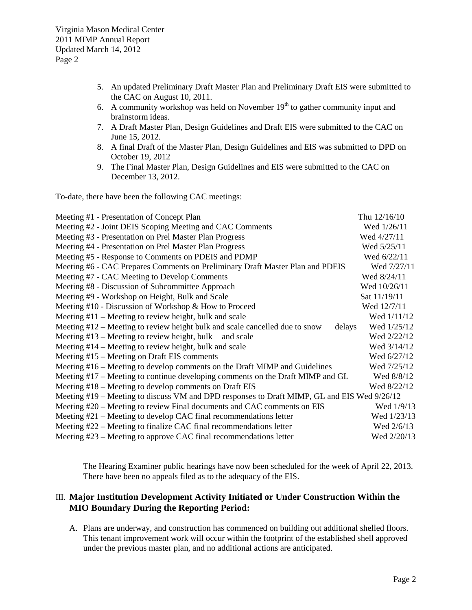- 5. An updated Preliminary Draft Master Plan and Preliminary Draft EIS were submitted to the CAC on August 10, 2011.
- 6. A community workshop was held on November  $19<sup>th</sup>$  to gather community input and brainstorm ideas.
- 7. A Draft Master Plan, Design Guidelines and Draft EIS were submitted to the CAC on June 15, 2012.
- 8. A final Draft of the Master Plan, Design Guidelines and EIS was submitted to DPD on October 19, 2012
- 9. The Final Master Plan, Design Guidelines and EIS were submitted to the CAC on December 13, 2012.

To-date, there have been the following CAC meetings:

| Meeting #1 - Presentation of Concept Plan                                                   | Thu 12/16/10   |
|---------------------------------------------------------------------------------------------|----------------|
| Meeting #2 - Joint DEIS Scoping Meeting and CAC Comments                                    | Wed 1/26/11    |
| Meeting #3 - Presentation on Prel Master Plan Progress                                      | Wed 4/27/11    |
| Meeting #4 - Presentation on Prel Master Plan Progress                                      | Wed $5/25/11$  |
| Meeting #5 - Response to Comments on PDEIS and PDMP                                         | Wed 6/22/11    |
| Meeting #6 - CAC Prepares Comments on Preliminary Draft Master Plan and PDEIS               | Wed 7/27/11    |
| Meeting #7 - CAC Meeting to Develop Comments                                                | Wed 8/24/11    |
| Meeting #8 - Discussion of Subcommittee Approach                                            | Wed $10/26/11$ |
| Meeting #9 - Workshop on Height, Bulk and Scale                                             | Sat $11/19/11$ |
| Meeting $#10$ - Discussion of Workshop & How to Proceed                                     | Wed 12/7/11    |
| Meeting $#11$ – Meeting to review height, bulk and scale                                    | Wed $1/11/12$  |
| Meeting $#12$ – Meeting to review height bulk and scale cancelled due to snow<br>delays     | Wed 1/25/12    |
| Meeting $#13$ – Meeting to review height, bulk and scale                                    | Wed 2/22/12    |
| Meeting $#14$ – Meeting to review height, bulk and scale                                    | Wed 3/14/12    |
| Meeting #15 – Meeting on Draft EIS comments                                                 | Wed 6/27/12    |
| Meeting #16 – Meeting to develop comments on the Draft MIMP and Guidelines                  | Wed 7/25/12    |
| Meeting #17 – Meeting to continue developing comments on the Draft MIMP and GL              | Wed 8/8/12     |
| Meeting $#18$ – Meeting to develop comments on Draft EIS                                    | Wed 8/22/12    |
| Meeting #19 – Meeting to discuss VM and DPD responses to Draft MIMP, GL and EIS Wed 9/26/12 |                |
| Meeting #20 – Meeting to review Final documents and CAC comments on EIS                     | Wed 1/9/13     |
| Meeting $#21$ – Meeting to develop CAC final recommendations letter                         | Wed 1/23/13    |
| Meeting #22 – Meeting to finalize CAC final recommendations letter                          | Wed 2/6/13     |
| Meeting #23 – Meeting to approve CAC final recommendations letter                           | Wed 2/20/13    |

The Hearing Examiner public hearings have now been scheduled for the week of April 22, 2013. There have been no appeals filed as to the adequacy of the EIS.

## III. **Major Institution Development Activity Initiated or Under Construction Within the MIO Boundary During the Reporting Period:**

A. Plans are underway, and construction has commenced on building out additional shelled floors. This tenant improvement work will occur within the footprint of the established shell approved under the previous master plan, and no additional actions are anticipated.